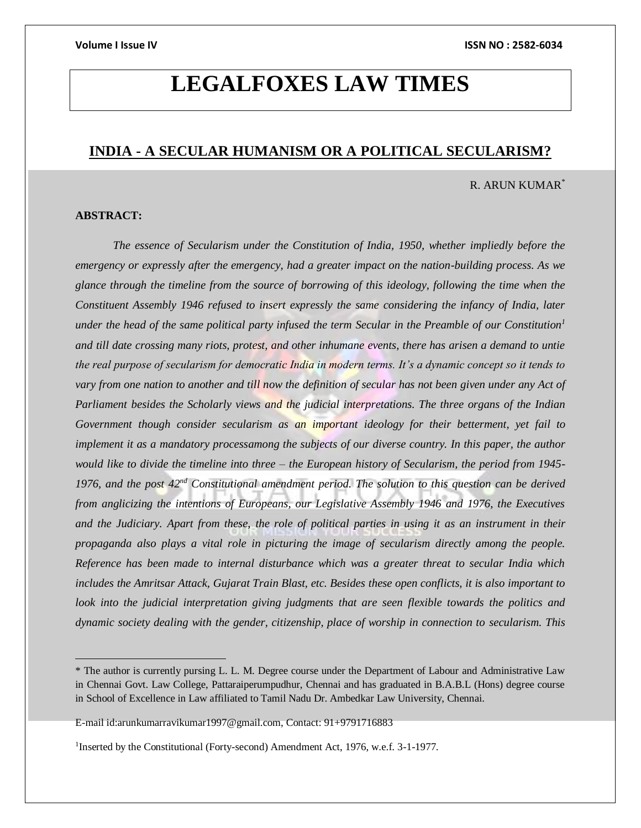## **LEGALFOXES LAW TIMES**

### **INDIA - A SECULAR HUMANISM OR A POLITICAL SECULARISM?**

### R. ARUN KUMAR\*

### **ABSTRACT:**

 $\overline{a}$ 

*The essence of Secularism under the Constitution of India, 1950, whether impliedly before the emergency or expressly after the emergency, had a greater impact on the nation-building process. As we glance through the timeline from the source of borrowing of this ideology, following the time when the Constituent Assembly 1946 refused to insert expressly the same considering the infancy of India, later under the head of the same political party infused the term Secular in the Preamble of our Constitution<sup>1</sup> and till date crossing many riots, protest, and other inhumane events, there has arisen a demand to untie the real purpose of secularism for democratic India in modern terms. It's a dynamic concept so it tends to vary from one nation to another and till now the definition of secular has not been given under any Act of Parliament besides the Scholarly views and the judicial interpretations. The three organs of the Indian Government though consider secularism as an important ideology for their betterment, yet fail to implement it as a mandatory processamong the subjects of our diverse country. In this paper, the author would like to divide the timeline into three – the European history of Secularism, the period from 1945- 1976, and the post 42nd Constitutional amendment period. The solution to this question can be derived from anglicizing the intentions of Europeans, our Legislative Assembly 1946 and 1976, the Executives and the Judiciary. Apart from these, the role of political parties in using it as an instrument in their propaganda also plays a vital role in picturing the image of secularism directly among the people. Reference has been made to internal disturbance which was a greater threat to secular India which includes the Amritsar Attack, Gujarat Train Blast, etc. Besides these open conflicts, it is also important to look into the judicial interpretation giving judgments that are seen flexible towards the politics and dynamic society dealing with the gender, citizenship, place of worship in connection to secularism. This* 

<sup>\*</sup> The author is currently pursing L. L. M. Degree course under the Department of Labour and Administrative Law in Chennai Govt. Law College, Pattaraiperumpudhur, Chennai and has graduated in B.A.B.L (Hons) degree course in School of Excellence in Law affiliated to Tamil Nadu Dr. Ambedkar Law University, Chennai.

E-mail id:arunkumarravikumar1997@gmail.com, Contact: 91+9791716883

<sup>&</sup>lt;sup>1</sup>Inserted by the Constitutional (Forty-second) Amendment Act, 1976, w.e.f. 3-1-1977.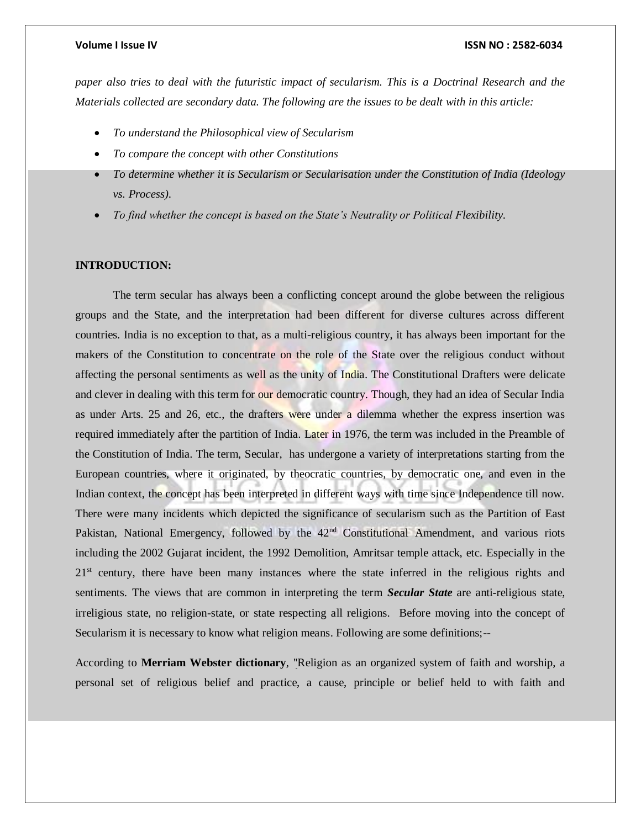*paper also tries to deal with the futuristic impact of secularism. This is a Doctrinal Research and the Materials collected are secondary data. The following are the issues to be dealt with in this article:*

- *To understand the Philosophical view of Secularism*
- *To compare the concept with other Constitutions*
- *To determine whether it is Secularism or Secularisation under the Constitution of India (Ideology vs. Process).*
- *To find whether the concept is based on the State's Neutrality or Political Flexibility.*

### **INTRODUCTION:**

The term secular has always been a conflicting concept around the globe between the religious groups and the State, and the interpretation had been different for diverse cultures across different countries. India is no exception to that, as a multi-religious country, it has always been important for the makers of the Constitution to concentrate on the role of the State over the religious conduct without affecting the personal sentiments as well as the unity of India. The Constitutional Drafters were delicate and clever in dealing with this term for our democratic country. Though, they had an idea of Secular India as under Arts. 25 and 26, etc., the drafters were under a dilemma whether the express insertion was required immediately after the partition of India. Later in 1976, the term was included in the Preamble of the Constitution of India. The term, Secular, has undergone a variety of interpretations starting from the European countries, where it originated, by theocratic countries, by democratic one, and even in the Indian context, the concept has been interpreted in different ways with time since Independence till now. There were many incidents which depicted the significance of secularism such as the Partition of East Pakistan, National Emergency, followed by the  $42<sup>nd</sup>$  Constitutional Amendment, and various riots including the 2002 Gujarat incident, the 1992 Demolition, Amritsar temple attack, etc. Especially in the 21<sup>st</sup> century, there have been many instances where the state inferred in the religious rights and sentiments. The views that are common in interpreting the term *Secular State* are anti-religious state, irreligious state, no religion-state, or state respecting all religions. Before moving into the concept of Secularism it is necessary to know what religion means. Following are some definitions;--

According to **Merriam Webster dictionary**, ''Religion as an organized system of faith and worship, a personal set of religious belief and practice, a cause, principle or belief held to with faith and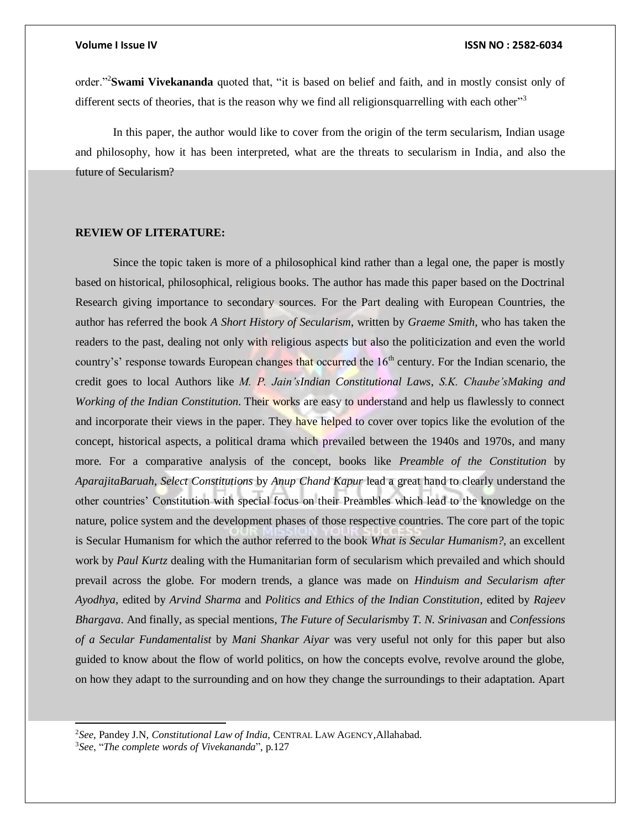order."<sup>2</sup>**Swami Vivekananda** quoted that, "it is based on belief and faith, and in mostly consist only of different sects of theories, that is the reason why we find all religionsquarrelling with each other"<sup>3</sup>

In this paper, the author would like to cover from the origin of the term secularism, Indian usage and philosophy, how it has been interpreted, what are the threats to secularism in India, and also the future of Secularism?

### **REVIEW OF LITERATURE:**

Since the topic taken is more of a philosophical kind rather than a legal one, the paper is mostly based on historical, philosophical, religious books. The author has made this paper based on the Doctrinal Research giving importance to secondary sources. For the Part dealing with European Countries, the author has referred the book *A Short History of Secularism*, written by *Graeme Smith*, who has taken the readers to the past, dealing not only with religious aspects but also the politicization and even the world country's' response towards European changes that occurred the 16<sup>th</sup> century. For the Indian scenario, the credit goes to local Authors like *M. P. Jain'sIndian Constitutional Laws*, *S.K. Chaube'sMaking and Working of the Indian Constitution*. Their works are easy to understand and help us flawlessly to connect and incorporate their views in the paper. They have helped to cover over topics like the evolution of the concept, historical aspects, a political drama which prevailed between the 1940s and 1970s, and many more. For a comparative analysis of the concept, books like *Preamble of the Constitution* by *AparajitaBaruah*, *Select Constitutions* by *Anup Chand Kapur* lead a great hand to clearly understand the other countries' Constitution with special focus on their Preambles which lead to the knowledge on the nature, police system and the development phases of those respective countries. The core part of the topic is Secular Humanism for which the author referred to the book *What is Secular Humanism?,* an excellent work by *Paul Kurtz* dealing with the Humanitarian form of secularism which prevailed and which should prevail across the globe. For modern trends, a glance was made on *Hinduism and Secularism after Ayodhya*, edited by *Arvind Sharma* and *Politics and Ethics of the Indian Constitution*, edited by *Rajeev Bhargava*. And finally, as special mentions, *The Future of Secularism*by *T. N. Srinivasan* and *Confessions of a Secular Fundamentalist* by *Mani Shankar Aiyar* was very useful not only for this paper but also guided to know about the flow of world politics, on how the concepts evolve, revolve around the globe, on how they adapt to the surrounding and on how they change the surroundings to their adaptation. Apart

<sup>2</sup>*See*, Pandey J.N, *Constitutional Law of India*, CENTRAL LAW AGENCY,Allahabad.

<sup>3</sup>*See*, "*The complete words of Vivekananda*", p.127

l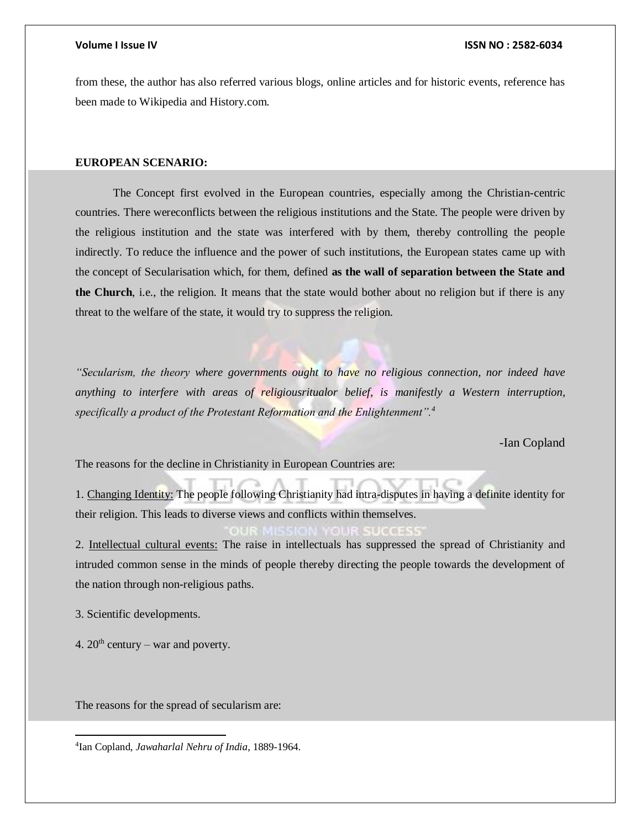from these, the author has also referred various blogs, online articles and for historic events, reference has been made to Wikipedia and History.com.

### **EUROPEAN SCENARIO:**

The Concept first evolved in the European countries, especially among the Christian-centric countries. There wereconflicts between the religious institutions and the State. The people were driven by the religious institution and the state was interfered with by them, thereby controlling the people indirectly. To reduce the influence and the power of such institutions, the European states came up with the concept of Secularisation which, for them, defined **as the wall of separation between the State and the Church**, i.e., the religion. It means that the state would bother about no religion but if there is any threat to the welfare of the state, it would try to suppress the religion.

*"Secularism, the theory where governments ought to have no religious connection, nor indeed have anything to interfere with areas of religiousritualor belief, is manifestly a Western interruption, specifically a product of the Protestant Reformation and the Enlightenment".<sup>4</sup>*

-Ian Copland

The reasons for the decline in Christianity in European Countries are:

1. Changing Identity: The people following Christianity had intra-disputes in having a definite identity for their religion. This leads to diverse views and conflicts within themselves.

2. Intellectual cultural events: The raise in intellectuals has suppressed the spread of Christianity and intruded common sense in the minds of people thereby directing the people towards the development of the nation through non-religious paths.

3. Scientific developments.

 $\overline{a}$ 

4.  $20^{th}$  century – war and poverty.

The reasons for the spread of secularism are:

4 Ian Copland, *Jawaharlal Nehru of India*, 1889-1964.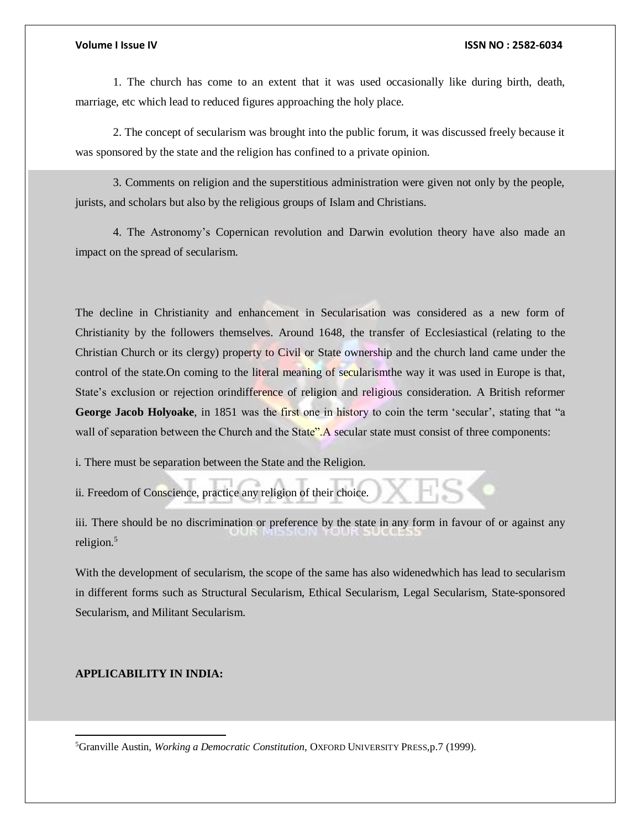1. The church has come to an extent that it was used occasionally like during birth, death, marriage, etc which lead to reduced figures approaching the holy place.

2. The concept of secularism was brought into the public forum, it was discussed freely because it was sponsored by the state and the religion has confined to a private opinion.

3. Comments on religion and the superstitious administration were given not only by the people, jurists, and scholars but also by the religious groups of Islam and Christians.

4. The Astronomy's Copernican revolution and Darwin evolution theory have also made an impact on the spread of secularism.

The decline in Christianity and enhancement in Secularisation was considered as a new form of Christianity by the followers themselves. Around 1648, the transfer of Ecclesiastical (relating to the Christian Church or its clergy) property to Civil or State ownership and the church land came under the control of the state. On coming to the literal meaning of secularismthe way it was used in Europe is that, State's exclusion or rejection orindifference of religion and religious consideration. A British reformer **George Jacob Holyoake**, in 1851 was the first one in history to coin the term 'secular', stating that "a wall of separation between the Church and the State". A secular state must consist of three components:

i. There must be separation between the State and the Religion.

ii. Freedom of Conscience, practice any religion of their choice.

iii. There should be no discrimination or preference by the state in any form in favour of or against any religion.<sup>5</sup>

With the development of secularism, the scope of the same has also widenedwhich has lead to secularism in different forms such as Structural Secularism, Ethical Secularism, Legal Secularism, State-sponsored Secularism, and Militant Secularism.

### **APPLICABILITY IN INDIA:**

 $\overline{a}$ 

<sup>5</sup>Granville Austin, *Working a Democratic Constitution*, OXFORD UNIVERSITY PRESS,p.7 (1999).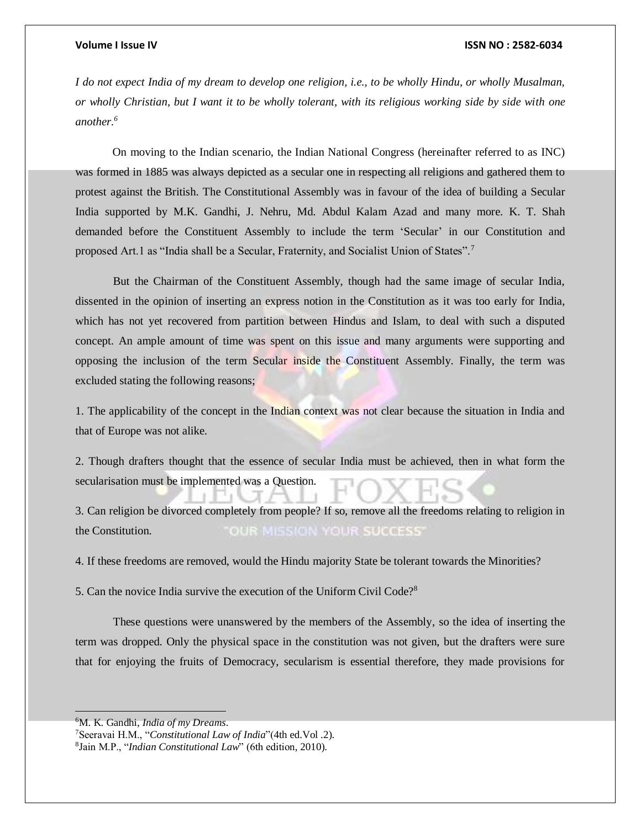*I do not expect India of my dream to develop one religion, i.e., to be wholly Hindu, or wholly Musalman, or wholly Christian, but I want it to be wholly tolerant, with its religious working side by side with one another.<sup>6</sup>*

On moving to the Indian scenario, the Indian National Congress (hereinafter referred to as INC) was formed in 1885 was always depicted as a secular one in respecting all religions and gathered them to protest against the British. The Constitutional Assembly was in favour of the idea of building a Secular India supported by M.K. Gandhi, J. Nehru, Md. Abdul Kalam Azad and many more. K. T. Shah demanded before the Constituent Assembly to include the term 'Secular' in our Constitution and proposed Art.1 as "India shall be a Secular, Fraternity, and Socialist Union of States".<sup>7</sup>

But the Chairman of the Constituent Assembly, though had the same image of secular India, dissented in the opinion of inserting an express notion in the Constitution as it was too early for India, which has not yet recovered from partition between Hindus and Islam, to deal with such a disputed concept. An ample amount of time was spent on this issue and many arguments were supporting and opposing the inclusion of the term Secular inside the Constituent Assembly. Finally, the term was excluded stating the following reasons;

1. The applicability of the concept in the Indian context was not clear because the situation in India and that of Europe was not alike.

2. Though drafters thought that the essence of secular India must be achieved, then in what form the secularisation must be implemented was a Question.

3. Can religion be divorced completely from people? If so, remove all the freedoms relating to religion in the Constitution. OUR MISSION YOUR SUCCESS'

4. If these freedoms are removed, would the Hindu majority State be tolerant towards the Minorities?

5. Can the novice India survive the execution of the Uniform Civil Code?<sup>8</sup>

These questions were unanswered by the members of the Assembly, so the idea of inserting the term was dropped. Only the physical space in the constitution was not given, but the drafters were sure that for enjoying the fruits of Democracy, secularism is essential therefore, they made provisions for

<sup>6</sup>M. K. Gandhi, *India of my Dreams*.

<sup>7</sup>Seeravai H.M., "*Constitutional Law of India*"(4th ed.Vol .2).

<sup>8</sup> Jain M.P., "*Indian Constitutional Law*" (6th edition, 2010).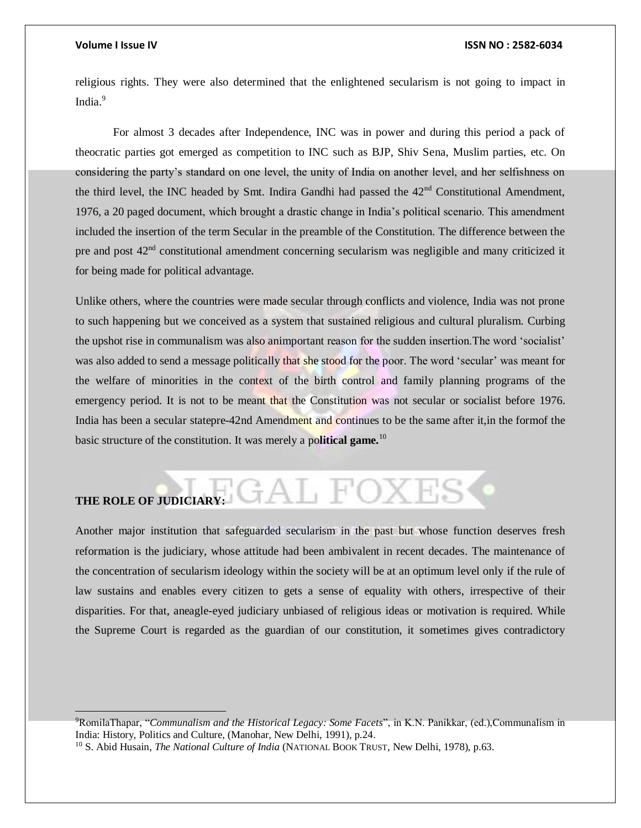### **Volume I Issue IV ISSN NO : 2582-6034**

religious rights. They were also determined that the enlightened secularism is not going to impact in India.<sup>9</sup>

For almost 3 decades after Independence, INC was in power and during this period a pack of theocratic parties got emerged as competition to INC such as BJP, Shiv Sena, Muslim parties, etc. On considering the party's standard on one level, the unity of India on another level, and her selfishness on the third level, the INC headed by Smt. Indira Gandhi had passed the  $42<sup>nd</sup>$  Constitutional Amendment, 1976, a 20 paged document, which brought a drastic change in India's political scenario. This amendment included the insertion of the term Secular in the preamble of the Constitution. The difference between the pre and post 42<sup>nd</sup> constitutional amendment concerning secularism was negligible and many criticized it for being made for political advantage.

Unlike others, where the countries were made secular through conflicts and violence, India was not prone to such happening but we conceived as a system that sustained religious and cultural pluralism. Curbing the upshot rise in communalism was also animportant reason for the sudden insertion.The word 'socialist' was also added to send a message politically that she stood for the poor. The word 'secular' was meant for the welfare of minorities in the context of the birth control and family planning programs of the emergency period. It is not to be meant that the Constitution was not secular or socialist before 1976. India has been a secular statepre-42nd Amendment and continues to be the same after it,in the formof the basic structure of the constitution. It was merely a po**litical game.**<sup>10</sup>

## GAL FOXES **THE ROLE OF JUDICIARY:**

Another major institution that safeguarded secularism in the past but whose function deserves fresh reformation is the judiciary, whose attitude had been ambivalent in recent decades. The maintenance of the concentration of secularism ideology within the society will be at an optimum level only if the rule of law sustains and enables every citizen to gets a sense of equality with others, irrespective of their disparities. For that, aneagle-eyed judiciary unbiased of religious ideas or motivation is required. While the Supreme Court is regarded as the guardian of our constitution, it sometimes gives contradictory

<sup>9</sup>RomilaThapar, "*Communalism and the Historical Legacy: Some Facets*", in K.N. Panikkar, (ed.),Communalism in India: History, Politics and Culture, (Manohar, New Delhi, 1991), p.24.

<sup>10</sup> S. Abid Husain, *The National Culture of India* (NATIONAL BOOK TRUST, New Delhi, 1978), p.63.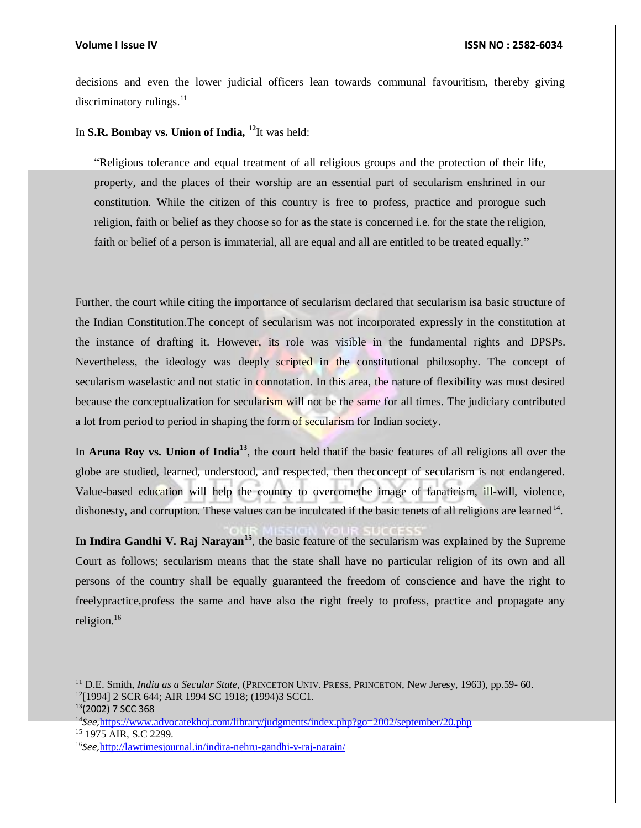decisions and even the lower judicial officers lean towards communal favouritism, thereby giving discriminatory rulings.<sup>11</sup>

In **S.R. Bombay vs. Union of India, <sup>12</sup>**It was held:

"Religious tolerance and equal treatment of all religious groups and the protection of their life, property, and the places of their worship are an essential part of secularism enshrined in our constitution. While the citizen of this country is free to profess, practice and prorogue such religion, faith or belief as they choose so for as the state is concerned i.e. for the state the religion, faith or belief of a person is immaterial, all are equal and all are entitled to be treated equally."

Further, the court while citing the importance of secularism declared that secularism isa basic structure of the Indian Constitution.The concept of secularism was not incorporated expressly in the constitution at the instance of drafting it. However, its role was visible in the fundamental rights and DPSPs. Nevertheless, the ideology was deeply scripted in the constitutional philosophy. The concept of secularism waselastic and not static in connotation. In this area, the nature of flexibility was most desired because the conceptualization for secularism will not be the same for all times. The judiciary contributed a lot from period to period in shaping the form of secularism for Indian society.

In **Aruna Roy vs. Union of India<sup>13</sup>**, the court held thatif the basic features of all religions all over the globe are studied, learned, understood, and respected, then theconcept of secularism is not endangered. Value-based education will help the country to overcomethe image of fanaticism, ill-will, violence, dishonesty, and corruption. These values can be inculcated if the basic tenets of all religions are learned  $14$ .

**In Indira Gandhi V. Raj Narayan<sup>15</sup>**, the basic feature of the secularism was explained by the Supreme Court as follows; secularism means that the state shall have no particular religion of its own and all persons of the country shall be equally guaranteed the freedom of conscience and have the right to freelypractice,profess the same and have also the right freely to profess, practice and propagate any religion.<sup>16</sup>

 $\overline{a}$ 

<sup>11</sup> D.E. Smith, *India as a Secular State*, (PRINCETON UNIV. PRESS, PRINCETON, New Jeresy, 1963), pp.59- 60. <sup>12</sup>[1994] 2 SCR 644; AIR 1994 SC 1918; (1994)3 SCC1.

<sup>13</sup>(2002) 7 SCC 368

<sup>14</sup>*See,*<https://www.advocatekhoj.com/library/judgments/index.php?go=2002/september/20.php> <sup>15</sup> 1975 AIR, S.C 2299.

<sup>16</sup>*See,*<http://lawtimesjournal.in/indira-nehru-gandhi-v-raj-narain/>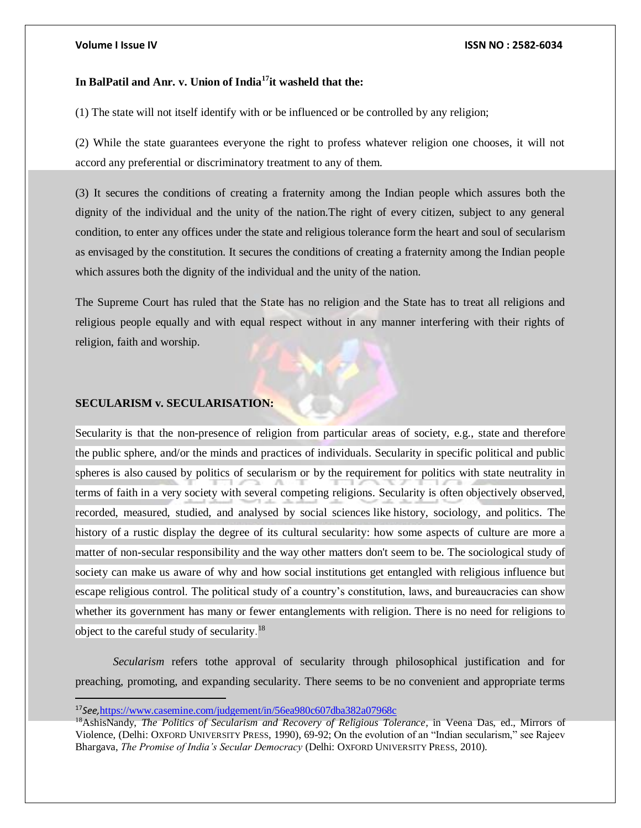### **In BalPatil and Anr. v. Union of India<sup>17</sup>it washeld that the:**

(1) The state will not itself identify with or be influenced or be controlled by any religion;

(2) While the state guarantees everyone the right to profess whatever religion one chooses, it will not accord any preferential or discriminatory treatment to any of them.

(3) It secures the conditions of creating a fraternity among the Indian people which assures both the dignity of the individual and the unity of the nation.The right of every citizen, subject to any general condition, to enter any offices under the state and religious tolerance form the heart and soul of secularism as envisaged by the constitution. It secures the conditions of creating a fraternity among the Indian people which assures both the dignity of the individual and the unity of the nation.

The Supreme Court has ruled that the State has no religion and the State has to treat all religions and religious people equally and with equal respect without in any manner interfering with their rights of religion, faith and worship.

### **SECULARISM v. SECULARISATION:**

Secularity is that the non-presence of religion from particular areas of society, e.g., state and therefore the public sphere, and/or the minds and practices of individuals. Secularity in specific political and public spheres is also caused by politics of secularism or by the requirement for politics with state neutrality in terms of faith in a very society with several competing religions. Secularity is often objectively observed, recorded, measured, studied, and analysed by social sciences like history, sociology, and politics. The history of a rustic display the degree of its cultural secularity: how some aspects of culture are more a matter of non-secular responsibility and the way other matters don't seem to be. The sociological study of society can make us aware of why and how social institutions get entangled with religious influence but escape religious control. The political study of a country's constitution, laws, and bureaucracies can show whether its government has many or fewer entanglements with religion. There is no need for religions to object to the careful study of secularity.<sup>18</sup>

*Secularism* refers tothe approval of secularity through philosophical justification and for preaching, promoting, and expanding secularity. There seems to be no convenient and appropriate terms

<sup>17</sup>*See,*<https://www.casemine.com/judgement/in/56ea980c607dba382a07968c>

<sup>18</sup>AshisNandy, *The Politics of Secularism and Recovery of Religious Tolerance,* in Veena Das, ed., Mirrors of Violence, (Delhi: OXFORD UNIVERSITY PRESS, 1990), 69-92; On the evolution of an "Indian secularism," see Rajeev Bhargava, *The Promise of India's Secular Democracy* (Delhi: OXFORD UNIVERSITY PRESS, 2010).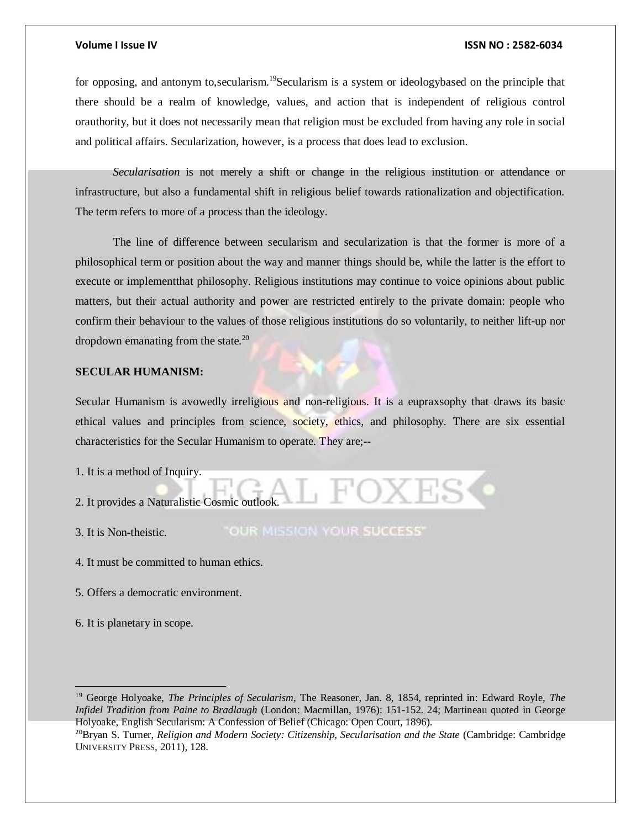for opposing, and antonym to, secularism.<sup>19</sup>Secularism is a system or ideologybased on the principle that there should be a realm of knowledge, values, and action that is independent of religious control orauthority, but it does not necessarily mean that religion must be excluded from having any role in social and political affairs. Secularization, however, is a process that does lead to exclusion.

*Secularisation* is not merely a shift or change in the religious institution or attendance or infrastructure, but also a fundamental shift in religious belief towards rationalization and objectification. The term refers to more of a process than the ideology.

The line of difference between secularism and secularization is that the former is more of a philosophical term or position about the way and manner things should be, while the latter is the effort to execute or implementthat philosophy. Religious institutions may continue to voice opinions about public matters, but their actual authority and power are restricted entirely to the private domain: people who confirm their behaviour to the values of those religious institutions do so voluntarily, to neither lift-up nor dropdown emanating from the state. $^{20}$ 

### **SECULAR HUMANISM:**

Secular Humanism is avowedly irreligious and non-religious. It is a eupraxsophy that draws its basic ethical values and principles from science, society, ethics, and philosophy. There are six essential characteristics for the Secular Humanism to operate. They are;--

1. It is a method of Inquiry.

2. It provides a Naturalistic Cosmic outlook.

3. It is Non-theistic.

"OUR MISSION YOUR SUCCESS"

4. It must be committed to human ethics.

5. Offers a democratic environment.

6. It is planetary in scope.

 $\overline{a}$ 

<sup>19</sup> George Holyoake, *The Principles of Secularism*, The Reasoner, Jan. 8, 1854, reprinted in: Edward Royle, *The Infidel Tradition from Paine to Bradlaugh* (London: Macmillan, 1976): 151-152. 24; Martineau quoted in George Holyoake, English Secularism: A Confession of Belief (Chicago: Open Court, 1896).

<sup>20</sup>Bryan S. Turner, *Religion and Modern Society: Citizenship, Secularisation and the State* (Cambridge: Cambridge UNIVERSITY PRESS, 2011), 128.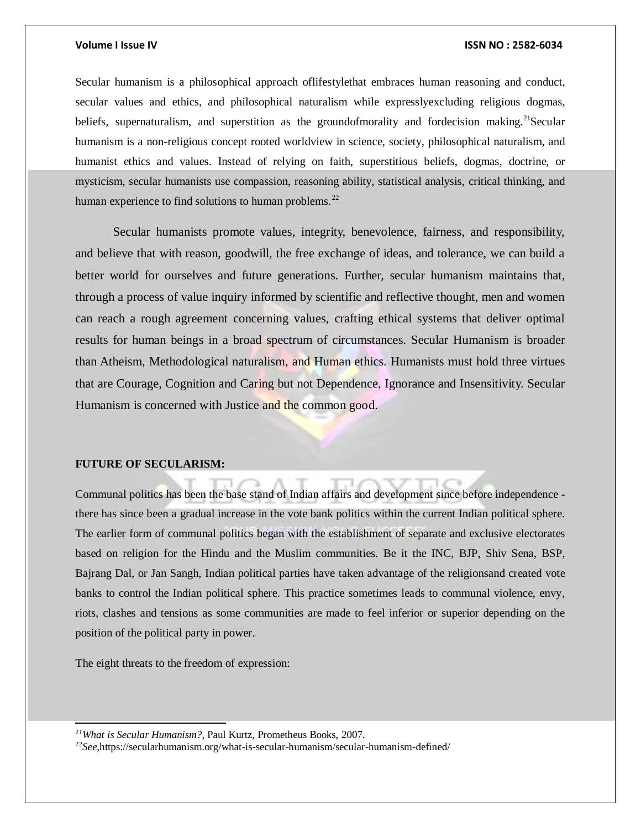Secular humanism is a philosophical approach oflifestylethat embraces human reasoning and conduct, secular values and ethics, and philosophical naturalism while expresslyexcluding religious dogmas, beliefs, supernaturalism, and superstition as the groundofmorality and fordecision making.<sup>21</sup>Secular humanism is a non-religious concept rooted worldview in science, society, philosophical naturalism, and humanist ethics and values. Instead of relying on faith, superstitious beliefs, dogmas, doctrine, or mysticism, secular humanists use compassion, reasoning ability, statistical analysis, critical thinking, and human experience to find solutions to human problems.<sup>22</sup>

Secular humanists promote values, integrity, benevolence, fairness, and responsibility, and believe that with reason, goodwill, the free exchange of ideas, and tolerance, we can build a better world for ourselves and future generations. Further, secular humanism maintains that, through a process of value inquiry informed by scientific and reflective thought, men and women can reach a rough agreement concerning values, crafting ethical systems that deliver optimal results for human beings in a broad spectrum of circumstances. Secular Humanism is broader than Atheism, Methodological naturalism, and Human ethics. Humanists must hold three virtues that are Courage, Cognition and Caring but not Dependence, Ignorance and Insensitivity. Secular Humanism is concerned with Justice and the common good.

### **FUTURE OF SECULARISM:**

Communal politics has been the base stand of Indian affairs and development since before independence there has since been a gradual increase in the vote bank politics within the current Indian political sphere. The earlier form of communal politics began with the establishment of separate and exclusive electorates based on religion for the Hindu and the Muslim communities. Be it the INC, BJP, Shiv Sena, BSP, Bajrang Dal, or Jan Sangh, Indian political parties have taken advantage of the religionsand created vote banks to control the Indian political sphere. This practice sometimes leads to communal violence, envy, riots, clashes and tensions as some communities are made to feel inferior or superior depending on the position of the political party in power.

The eight threats to the freedom of expression:

l

<sup>21</sup>*What is Secular Humanism?*, Paul Kurtz, Prometheus Books, 2007.

22*See,*https://secularhumanism.org/what-is-secular-humanism/secular-humanism-defined/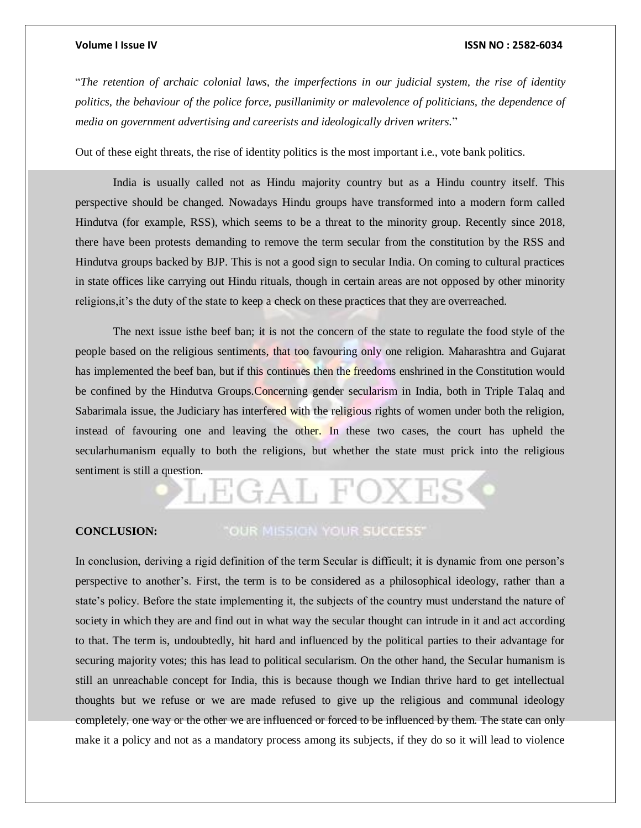"*The retention of archaic colonial laws, the imperfections in our judicial system, the rise of identity*  politics, the behaviour of the police force, pusillanimity or malevolence of politicians, the dependence of *media on government advertising and careerists and ideologically driven writers.*"

Out of these eight threats, the rise of identity politics is the most important i.e., vote bank politics.

India is usually called not as Hindu majority country but as a Hindu country itself. This perspective should be changed. Nowadays Hindu groups have transformed into a modern form called Hindutva (for example, RSS), which seems to be a threat to the minority group. Recently since 2018, there have been protests demanding to remove the term secular from the constitution by the RSS and Hindutva groups backed by BJP. This is not a good sign to secular India. On coming to cultural practices in state offices like carrying out Hindu rituals, though in certain areas are not opposed by other minority religions,it's the duty of the state to keep a check on these practices that they are overreached.

The next issue isthe beef ban; it is not the concern of the state to regulate the food style of the people based on the religious sentiments, that too favouring only one religion. Maharashtra and Gujarat has implemented the beef ban, but if this continues then the freedoms enshrined in the Constitution would be confined by the Hindutva Groups.Concerning gender secularism in India, both in Triple Talaq and Sabarimala issue, the Judiciary has interfered with the religious rights of women under both the religion, instead of favouring one and leaving the other. In these two cases, the court has upheld the secularhumanism equally to both the religions, but whether the state must prick into the religious sentiment is still a question.

# EGAL FOXI

### **CONCLUSION:**

### "OUR MISSION YOUR SUCCESS"

In conclusion, deriving a rigid definition of the term Secular is difficult; it is dynamic from one person's perspective to another's. First, the term is to be considered as a philosophical ideology, rather than a state's policy. Before the state implementing it, the subjects of the country must understand the nature of society in which they are and find out in what way the secular thought can intrude in it and act according to that. The term is, undoubtedly, hit hard and influenced by the political parties to their advantage for securing majority votes; this has lead to political secularism. On the other hand, the Secular humanism is still an unreachable concept for India, this is because though we Indian thrive hard to get intellectual thoughts but we refuse or we are made refused to give up the religious and communal ideology completely, one way or the other we are influenced or forced to be influenced by them. The state can only make it a policy and not as a mandatory process among its subjects, if they do so it will lead to violence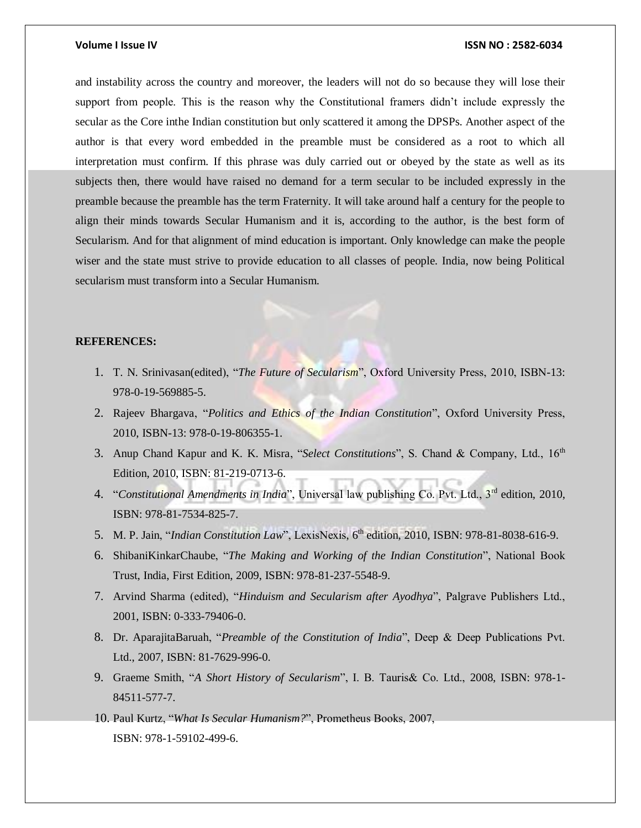and instability across the country and moreover, the leaders will not do so because they will lose their support from people. This is the reason why the Constitutional framers didn't include expressly the secular as the Core inthe Indian constitution but only scattered it among the DPSPs. Another aspect of the author is that every word embedded in the preamble must be considered as a root to which all interpretation must confirm. If this phrase was duly carried out or obeyed by the state as well as its subjects then, there would have raised no demand for a term secular to be included expressly in the preamble because the preamble has the term Fraternity. It will take around half a century for the people to align their minds towards Secular Humanism and it is, according to the author, is the best form of Secularism. And for that alignment of mind education is important. Only knowledge can make the people wiser and the state must strive to provide education to all classes of people. India, now being Political secularism must transform into a Secular Humanism.

### **REFERENCES:**

- 1. T. N. Srinivasan(edited), "*The Future of Secularism*", Oxford University Press, 2010, ISBN-13: 978-0-19-569885-5.
- 2. Rajeev Bhargava, "*Politics and Ethics of the Indian Constitution*", Oxford University Press, 2010, ISBN-13: 978-0-19-806355-1.
- 3. Anup Chand Kapur and K. K. Misra, "Select Constitutions", S. Chand & Company, Ltd., 16<sup>th</sup> Edition, 2010, ISBN: 81-219-0713-6.
- 4. "Constitutional Amendments in India", Universal law publishing Co. Pvt. Ltd., 3<sup>rd</sup> edition, 2010, ISBN: 978-81-7534-825-7.
- 5. M. P. Jain, "*Indian Constitution Law*", LexisNexis, 6<sup>th</sup> edition, 2010, ISBN: 978-81-8038-616-9.
- 6. ShibaniKinkarChaube, "*The Making and Working of the Indian Constitution*", National Book Trust, India, First Edition, 2009, ISBN: 978-81-237-5548-9.
- 7. Arvind Sharma (edited), "*Hinduism and Secularism after Ayodhya*", Palgrave Publishers Ltd., 2001, ISBN: 0-333-79406-0.
- 8. Dr. AparajitaBaruah, "*Preamble of the Constitution of India*", Deep & Deep Publications Pvt. Ltd., 2007, ISBN: 81-7629-996-0.
- 9. Graeme Smith, "*A Short History of Secularism*", I. B. Tauris& Co. Ltd., 2008, ISBN: 978-1- 84511-577-7.
- 10. Paul Kurtz, "*What Is Secular Humanism?*", Prometheus Books, 2007, ISBN: 978-1-59102-499-6.